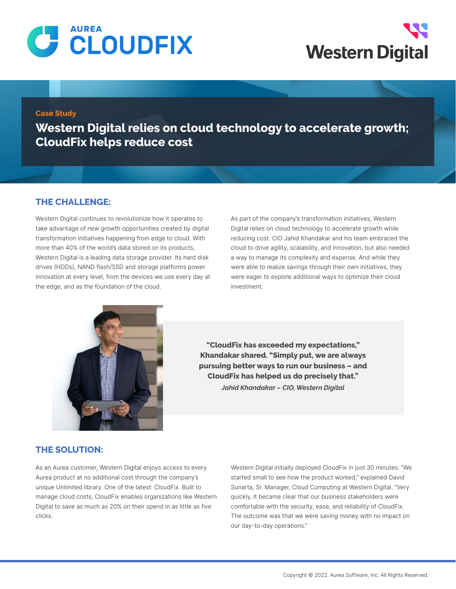



#### **Case Study**

**Western Digital relies on cloud technology to accelerate growth; CloudFix helps reduce cost**

### **THE CHALLENGE:**

Western Digital continues to revolutionize how it operates to take advantage of new growth opportunities created by digital transformation initiatives happening from edge to cloud. With more than 40% of the world's data stored on its products, Western Digital is a leading data storage provider. Its hard disk drives (HDDs), NAND flash/SSD and storage platforms power innovation at every level, from the devices we use every day at the edge, and as the foundation of the cloud.

As part of the company's transformation initiatives, Western Digital relies on cloud technology to accelerate growth while reducing cost. CIO Jahid Khandakar and his team embraced the cloud to drive agility, scalability, and innovation, but also needed a way to manage its complexity and expense. And while they were able to realize savings through their own initiatives, they were eager to explore additional ways to optimize their cloud investment.



**"CloudFix has exceeded my expectations," Khandakar shared. "Simply put, we are always pursuing better ways to run our business – and CloudFix has helped us do precisely that."** *Jahid Khandakar – CIO, Western Digital*

### **THE SOLUTION:**

As an Aurea customer, Western Digital enjoys access to every Aurea product at no additional cost through the company's unique Unlimited library. One of the latest: CloudFix. Built to manage cloud costs, CloudFix enables organizations like Western Digital to save as much as 20% on their spend in as little as five clicks.

Western Digital initially deployed CloudFix in just 30 minutes. "We started small to see how the product worked," explained David Sunarta, Sr. Manager, Cloud Computing at Western Digital. "Very quickly, it became clear that our business stakeholders were comfortable with the security, ease, and reliability of CloudFix. The outcome was that we were saving money with no impact on our day-to-day operations."